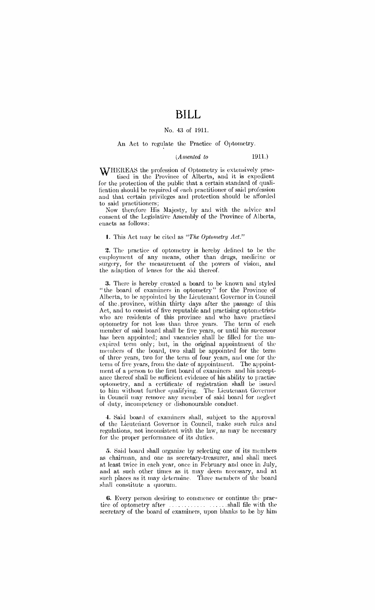# **BILL**

#### No. 43 of 1911.

#### An Act to regulate the Practice of Optometry.

### *(Assented to* 1911.)

WHEREAS the profession of Optometry is extensively practised in the Province of Alberta, and it is expedient for the protection of the public that a certain standard of qualification should be required of each practitioner of said profession and that certain privileges and protection should be afforded to said practitioners;

Now therefore His Majesty, by and with the advice and consent of the Legislative Assembly of the Province of Alberta, enacts as follows:

#### **l.** This Act may be cited as *"The Optometry Act."*

2. The practice of optometry is hereby defined to be the employment of any means, other than drugs, medicine or surgery, for the measurement of the powers of vision, and the adaption of lenses for the aid thereof.

3. There is hereby created a board to be known and styled "the board of examiners in optometry" for the Province of Alberta, to be appointed by the Lieutenant Governor in Council of the province, within thirty days after the passage of this Act, and to eonsist of five reputable and practising optometrists who are residents of this province and who have practised optometry for not less than three years. The term of each member of said board shall be five years, or until his successor has been appointed; and vacancies shall be filled for the un expired term only; but, in the original appointment of the members of the board, two shall be appointed for the term of three years, two for the term of four years, and one for the term of five years, from the date of appointment. The appointment of a person to the first board of examiners and his acceptance thereof shall be sufficient evidence of his ability to practise optometry, and a certificate of registration shall be issued to him without further qualifying. The Lieutenant Governor in Council may remove any member of said board for neglect of duty, incompetency or dishonourable conduct.

4. Said board of examiners shall, subject to the approval of the Lieuteriant Governor in Council, make such rules and regulations, not inconsistent with the law, as may be necessary for the proper performance of its duties.

5. Said board shall organize by selecting one of its members as chairman, and one as secretary-treasurer, and shall meet at least twice in eaeh year, once in February and once in July, and at such other times as it may deem necessary, and at such places as it may determine. Three members of the board shall constitute a quorum.

6. Every person desiring to commence or continue the practiec of optometry after . . . . . . . . . . . . . ..... shall file with the secretary of the board of examiners, upon blanks to be by him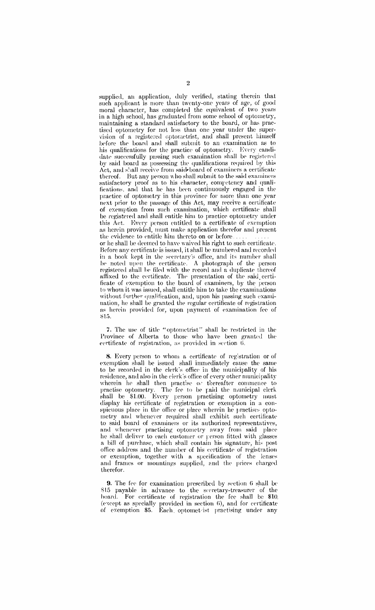supplied, an application, duly verified, stating therein that such applicant is more than twenty-one years of age, of good moral character, has completed the equivalent of two years in a high school, has graduated from some school of optometry, maintaining a standard satisfactory to the board, or has practised optometry for not less than one year under the supervision of a registered optometrist, and shall present himself before the board and shall submit to an examination as to his qualifications for the practice of optometry. Every candidate successfully passing such examination shall be registered by said board as possessing the qualifications required by this Act, and shall receive from said board of examiners a certificate thereof. But any person who shall submit to the said examiners satisfactory proof as to his character, competency and qualifications, and that he has been continuously engaged in the practice of optometry in this province for more than one year next prior to the passage of this Act, may receive a certificate of exemption from sueh examination, which certificate shall be registered and shall entitle him to practice optometry under this Act. Every person entitled to a certificate of exemption as herein provided, must make application therefor and present the evidence to entitle him thereto on or before. or he shall be deemed to have waived his right to such certificate.

Before any certificate is issued, it shall be numbered and recorded in a book kept in the secretary's office, and its number shall *be* noted upon the certificate. A photograph of the person registered shall be filed with the record and a duplicate thereof affixed to the certificate. The presentation of the said certificate of exemption to the board of examiners, by the person to whom it was issued, shall entitle him to take the examinations without further qualification, and, upon his passing such examination, he shall be granted the regular certificate of registration as herein provided for, upon payment of examination fee of  $815.$ 

7. The use of title "optometrist" shall be restricted in the Province of Alberta to those who have been granted the eertificate of registration, as provided in section 6.

8. Every person to whom a certificate of reg:stration or of exemption shall be issued shall immediately cause the same to be recorded in the clerk's office in the municipality of his residence, and also in the clerk's office of every other municipality wherein he shall then practise of thereafter commence to practise optometry. The fee to be paid the municipal clerk shall be \$1.00. Every person practising optometry must display his certificate of registration or exemption in a conspicuous place in the office or place wherein he practises optometry and whencyer required shall exhibit sueh certificate to said board of examiners or its authorized representatives, and whenever practising optometry away from said place he shall deliver to each customer or person fitted with glasses a bill of purchase, which shall contain his signature, his post office address and the number of his certificate of registration or exemption, together with a specification of the lenses and frames or mountings supplied, and the prices charged therefor.

9. The fee for examination prescribed by section 6 shall be \$15 payable in advance to the sceretary-treasurer of the hoard. For eertificate of registration the fee shall be \$10. (except as specially provided in section  $6$ ), and for certificate of exemption \$5. Each optomet ist practising under any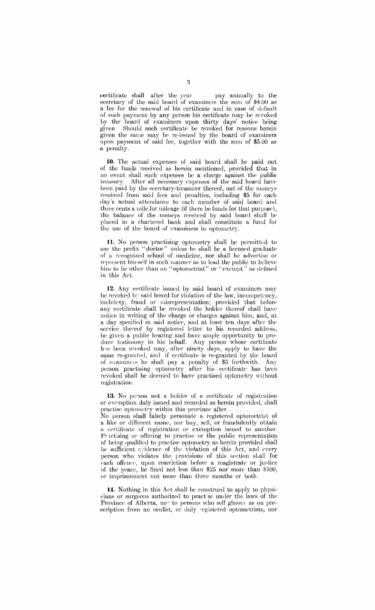certificate shall after the year ... pay annually to the secretary of the said board of examiners the sum of \$4.00 as a fee for the renewal of his certificate and in case of default of such payment by any person his certificate may be revoked by the board of examiners upon thirty days' notice being given Should such certificate be revoked for reasons herein given the same may be re-issued by the board of examiners upon payment of said fee, together with the sum of \$5.00 as a penalty.

10. The actual expenses of said board shall be paid out of the funus received as herein mentioned, provided that in no event shall such expenses be a charge against the public treasury. After all necessary expenses of the said hoard have been paid by the secretary-treasurer thereof, out of the moneys received from said fees and penalties, including \$5 for each day's actual attendance to each member of said board and three cents a mile for mileage (if there be funds for that purpose), the balance of the moneys received by said board shall be placed iu a chartered bank and shall constitute a fund for the usc of the board of examiners in optometry.

11. No person practising optometry shall be permitted to use the prefix "doctor" unless he shall be a licensed graduate of a recognized school of medicine, nor shall he advertise or represent hin-self in such manner as to lead the public to believe him to be other than an "optometrist" or "exempt" as defined in this Act.

12. Any certificate issued by said board of examiners may be revoked by said board for violation of the law, incompetency, inebriety, fraud or misrepresentation; provided that before any certificate shall be revoked the holder thereof shall have notice in writing of the charge or charges against him, and, at a day specified in said notice, and at least ten days after the service thereof by registered letter to his recorded address, be given a public hearing and have ample opportunity to produce testimony in his behalf. Any person whose certificate has been revoked may, after ninety days, apply to have the same re-granted, and if certificate is re-granted by the board of examines he shall pay a penalty of \$5 forthwith. Any person practising optometry after his certificate has been revoked shall *be* deemed to have practised optometry without registration.

13. No person not a holder of a certificate of registration or exemption duly issued and recorded as herein provided, shall practise optometry within this province after. No person shall falsely personate a registered optometrist of a like or different name, nor buy, sell, or fraudulently obtain a certificate of registration or exemption issued to another. Practising or offering to practise or the public representation of being qualifiecl to praetise optometry as herein provided shall be sufficient evidence of the violation of this Act, and every person who violates the provisions of this section shall for each offence, upon conviction before a magistrate or justice of the peace, be fined not less than  $$25$  nor more than  $$100$ , or imprisonment not more than three months or both.

14. Nothing in this Act shall be construed to apply to physicians or surgeons authorized to praet:sc under the laws of the Province of Alberta, no" to persons who sell glasses as on preseription from an oculist, or duly vegistered optometrists, nor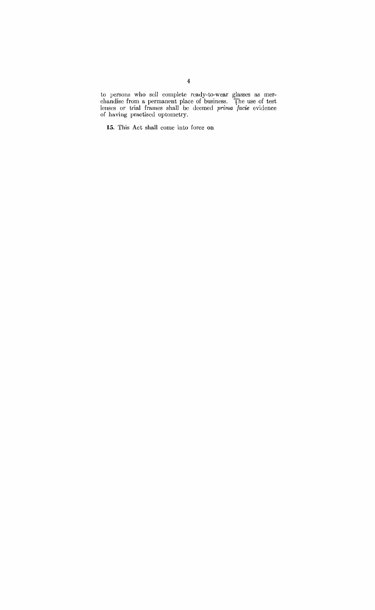to persons who sell complete ready-to-wear glasses as merchandise from a permanent place of business. The use of test lenses or trial frames shall be deemed *prima facie* evidence of having practised optometry.

15. This Act shall come into force on